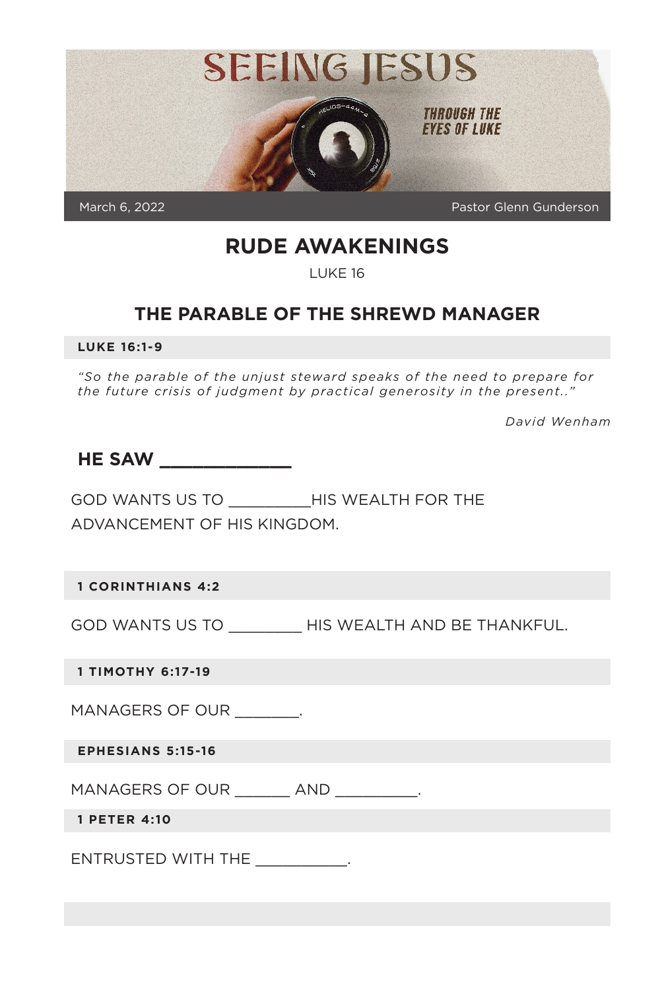

## **RUDE AWAKENINGS**

LUKE 16

## **THE PARABLE OF THE SHREWD MANAGER**

**LUKE 16:1-9**

*"So the parable of the unjust steward speaks of the need to prepare for the future crisis of judgment by practical generosity in the present.."* 

*David Wenham*

| <b>HE SAW</b> |  |  |
|---------------|--|--|
|               |  |  |

GOD WANTS US TO \_\_\_\_\_\_\_\_\_HIS WEALTH FOR THE ADVANCEMENT OF HIS KINGDOM.

**1 CORINTHIANS 4:2**

GOD WANTS US TO \_\_\_\_\_\_\_\_ HIS WEALTH AND BE THANKFUL.

**1 TIMOTHY 6:17-19**

MANAGERS OF OUR .

**EPHESIANS 5:15-16**

MANAGERS OF OUR \_\_\_\_\_\_\_ AND \_\_\_\_\_\_\_\_\_.

**1 PETER 4:10**

ENTRUSTED WITH THE \_\_\_\_\_\_\_\_\_\_.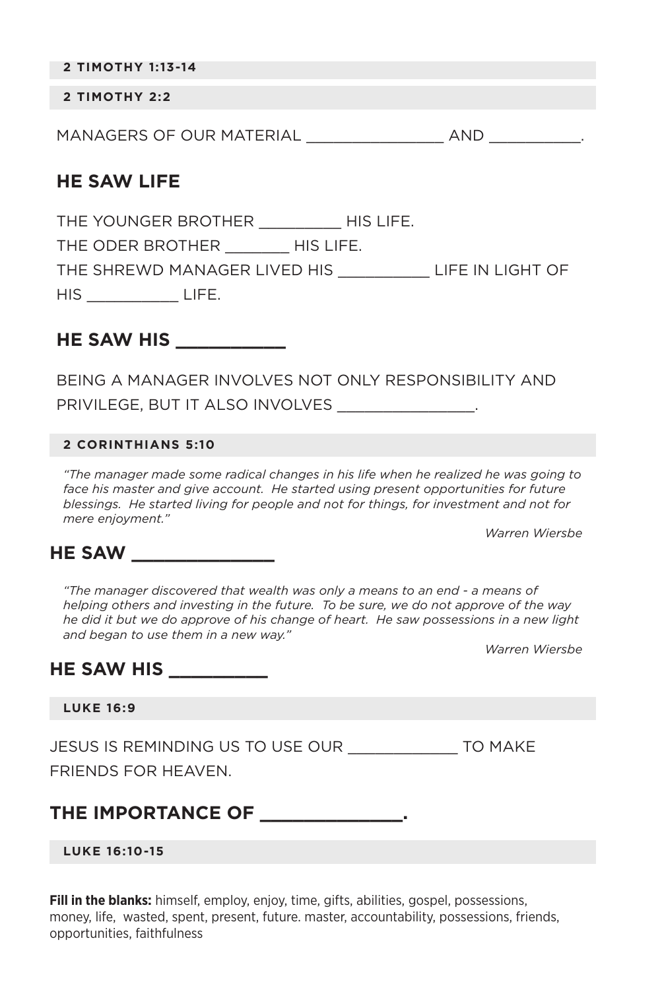**2 TIMOTHY 1:13-14** 

#### **2 TIMOTHY 2:2**

MANAGERS OF OUR MATERIAL \_\_\_\_\_\_\_\_\_\_\_\_\_\_\_ AND \_\_\_\_\_\_\_\_\_\_.

### **HE SAW LIFE**

THE YOUNGER BROTHER \_\_\_\_\_\_\_\_\_\_\_ HIS LIFE. THE ODER BROTHER HIS LIFE. THE SHREWD MANAGER LIVED HIS \_\_\_\_\_\_\_\_\_\_ LIFE IN LIGHT OF HIS \_\_\_\_\_\_\_\_\_\_ LIFE.

#### **HE SAW HIS \_\_\_\_\_\_\_\_\_\_**

BEING A MANAGER INVOLVES NOT ONLY RESPONSIBILITY AND PRIVILEGE, BUT IT ALSO INVOLVES **EXAMPLE** 

#### **2 CORINTHIANS 5:10**

*"The manager made some radical changes in his life when he realized he was going to*  face his master and give account. He started using present opportunities for future *blessings. He started living for people and not for things, for investment and not for mere enjoyment."*

*Warren Wiersbe*

### **HE SAW \_\_\_\_\_\_\_\_\_\_\_\_\_**

*"The manager discovered that wealth was only a means to an end - a means of helping others and investing in the future. To be sure, we do not approve of the way he did it but we do approve of his change of heart. He saw possessions in a new light and began to use them in a new way."* 

*Warren Wiersbe* 

### **HE SAW HIS \_\_\_\_\_\_\_\_\_**

#### **LUKE 16:9**

JESUS IS REMINDING US TO USE OUR \_\_\_\_\_\_\_\_\_\_\_\_ TO MAKE

FRIENDS FOR HEAVEN.

## THE IMPORTANCE OF **All assets**

#### **LUKE 16:10-15**

**Fill in the blanks:** himself, employ, enjoy, time, gifts, abilities, gospel, possessions, money, life, wasted, spent, present, future. master, accountability, possessions, friends, opportunities, faithfulness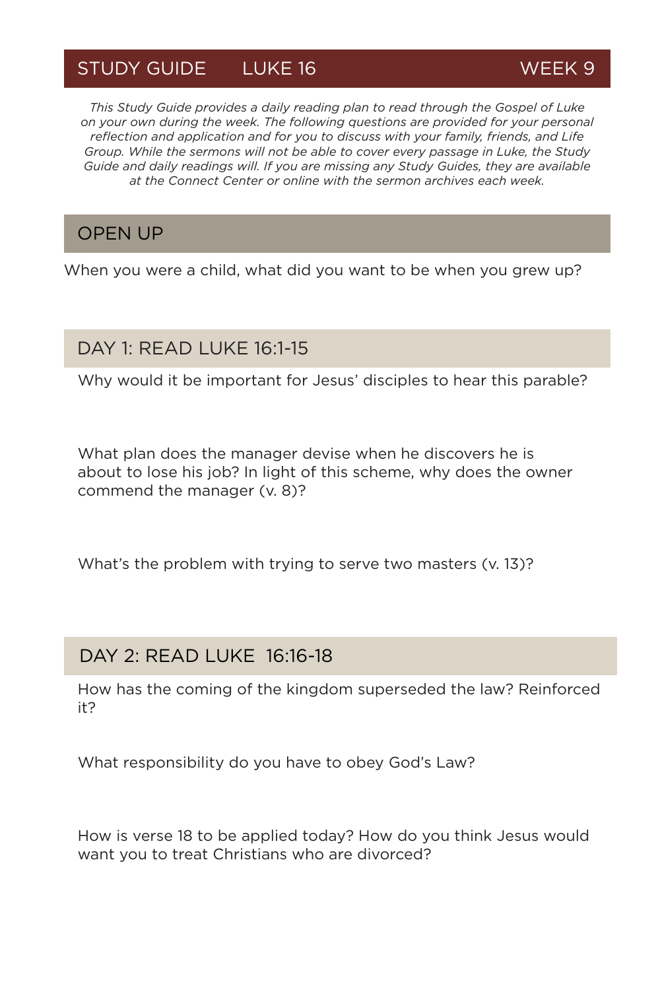# STUDY GUIDE LUKE 16 WEEK 9

*This Study Guide provides a daily reading plan to read through the Gospel of Luke on your own during the week. The following questions are provided for your personal reflection and application and for you to discuss with your family, friends, and Life Group. While the sermons will not be able to cover every passage in Luke, the Study Guide and daily readings will. If you are missing any Study Guides, they are available at the Connect Center or online with the sermon archives each week.*

### OPEN UP

When you were a child, what did you want to be when you grew up?

## DAY 1: READ LUKE 16:1-15

Why would it be important for Jesus' disciples to hear this parable?

What plan does the manager devise when he discovers he is about to lose his job? In light of this scheme, why does the owner commend the manager (v. 8)?

What's the problem with trying to serve two masters (v. 13)?

### DAY 2: READ LUKE 16:16-18

How has the coming of the kingdom superseded the law? Reinforced it?

What responsibility do you have to obey God's Law?

How is verse 18 to be applied today? How do you think Jesus would want you to treat Christians who are divorced?